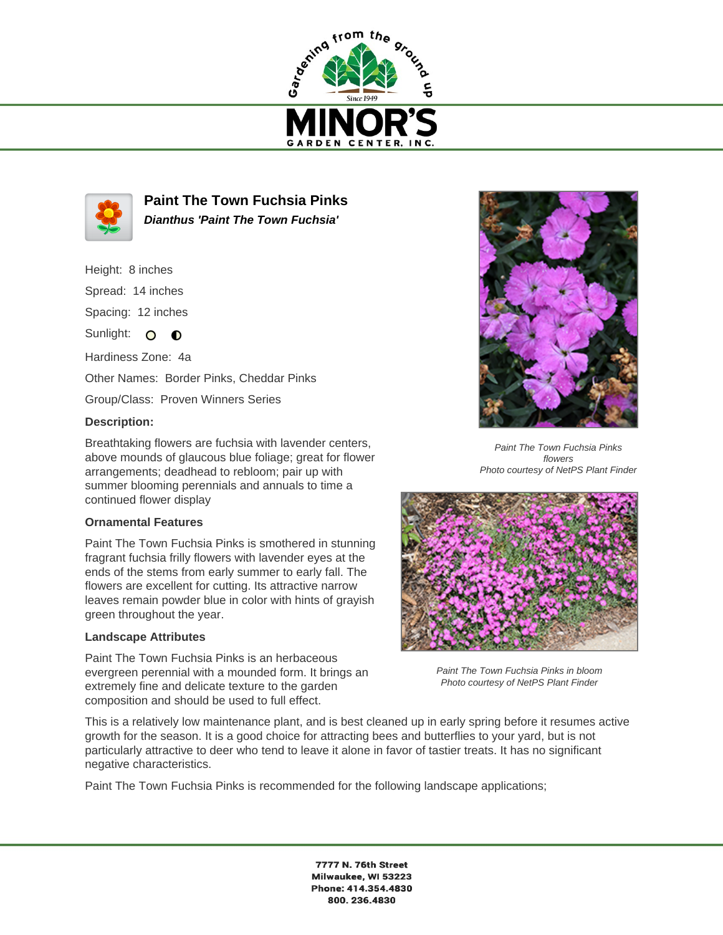



**Paint The Town Fuchsia Pinks Dianthus 'Paint The Town Fuchsia'**

- Height: 8 inches
- Spread: 14 inches

Spacing: 12 inches

Sunlight: O O

Hardiness Zone: 4a Other Names: Border Pinks, Cheddar Pinks

Group/Class: Proven Winners Series

## **Description:**

Breathtaking flowers are fuchsia with lavender centers, above mounds of glaucous blue foliage; great for flower arrangements; deadhead to rebloom; pair up with summer blooming perennials and annuals to time a continued flower display

## **Ornamental Features**

Paint The Town Fuchsia Pinks is smothered in stunning fragrant fuchsia frilly flowers with lavender eyes at the ends of the stems from early summer to early fall. The flowers are excellent for cutting. Its attractive narrow leaves remain powder blue in color with hints of grayish green throughout the year.

## **Landscape Attributes**

Paint The Town Fuchsia Pinks is an herbaceous evergreen perennial with a mounded form. It brings an extremely fine and delicate texture to the garden composition and should be used to full effect.



Paint The Town Fuchsia Pinks flowers Photo courtesy of NetPS Plant Finder



Paint The Town Fuchsia Pinks in bloom Photo courtesy of NetPS Plant Finder

This is a relatively low maintenance plant, and is best cleaned up in early spring before it resumes active growth for the season. It is a good choice for attracting bees and butterflies to your yard, but is not particularly attractive to deer who tend to leave it alone in favor of tastier treats. It has no significant negative characteristics.

Paint The Town Fuchsia Pinks is recommended for the following landscape applications;

7777 N. 76th Street Milwaukee, WI 53223 Phone: 414.354.4830 800.236.4830